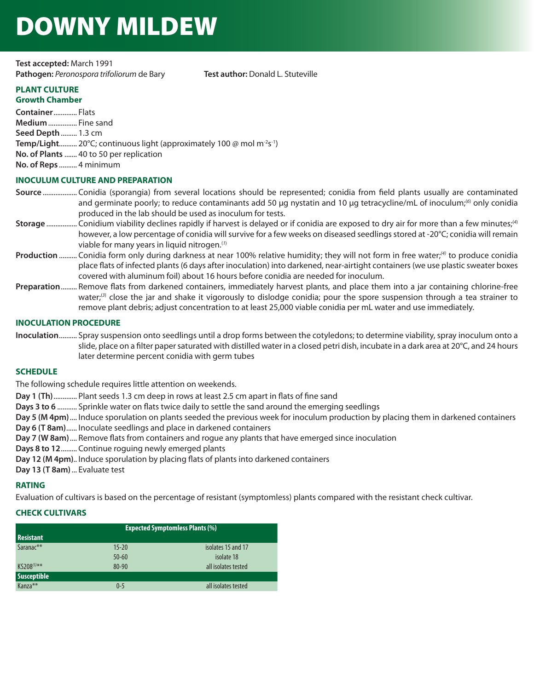# DOWNY MILDEW

**Test accepted:** March 1991 Pathogen: Peronospora trifoliorum de Bary **Test author:** Donald L. Stuteville

#### **PLANT CULTURE Growth Chamber**

**Container** ............. Flats **Medium** ................ Fine sand **Seed Depth** ......... 1.3 cm **Temp/Light..........** 20°C; continuous light (approximately 100 @ mol m<sup>-2</sup>s<sup>-1</sup>) **No. of Plants** ....... 40 to 50 per replication **No. of Reps** .......... 4 minimum

## **INOCULUM CULTURE AND PREPARATION**

- **Source** ................... Conidia (sporangia) from several locations should be represented; conidia from field plants usually are contaminated and germinate poorly; to reduce contaminants add 50 μg nystatin and 10 μg tetracycline/mL of inoculum;<sup>(6)</sup> only conidia produced in the lab should be used as inoculum for tests.
- **Storage** ................. Conidium viability declines rapidly if harvest is delayed or if conidia are exposed to dry air for more than a few minutes;(*<sup>4</sup>*) however, a low percentage of conidia will survive for a few weeks on diseased seedlings stored at -20°C; conidia will remain viable for many years in liquid nitrogen.(*<sup>1</sup>*)
- **Production** .......... Conidia form only during darkness at near 100% relative humidity; they will not form in free water;*(4)* to produce conidia place flats of infected plants (6 days after inoculation) into darkened, near-airtight containers (we use plastic sweater boxes covered with aluminum foil) about 16 hours before conidia are needed for inoculum.
- **Preparation** ......... Remove flats from darkened containers, immediately harvest plants, and place them into a jar containing chlorine-free water;(*<sup>3</sup>*) close the jar and shake it vigorously to dislodge conidia; pour the spore suspension through a tea strainer to remove plant debris; adjust concentration to at least 25,000 viable conidia per mL water and use immediately.

## **INOCULATION PROCEDURE**

**Inoculation** .......... Spray suspension onto seedlings until a drop forms between the cotyledons; to determine viability, spray inoculum onto a slide, place on a filter paper saturated with distilled water in a closed petri dish, incubate in a dark area at 20°C, and 24 hours later determine percent conidia with germ tubes

## **SCHEDULE**

The following schedule requires little attention on weekends.

**Day 1 (Th)** ............. Plant seeds 1.3 cm deep in rows at least 2.5 cm apart in flats of fine sand

- **Days 3 to 6** ........... Sprinkle water on flats twice daily to settle the sand around the emerging seedlings
- **Day 5 (M 4pm)** .... Induce sporulation on plants seeded the previous week for inoculum production by placing them in darkened containers

**Day 6 (T 8am)** ...... Inoculate seedlings and place in darkened containers

**Day 7 (W 8am)** .... Remove flats from containers and rogue any plants that have emerged since inoculation

**Days 8 to 12** ......... Continue roguing newly emerged plants

**Day 12 (M 4pm)**.. Induce sporulation by placing flats of plants into darkened containers

**Day 13 (T 8am)** ... Evaluate test

## **RATING**

Evaluation of cultivars is based on the percentage of resistant (symptomless) plants compared with the resistant check cultivar.

## **CHECK CULTIVARS**

| <b>Resistant</b>                          | <b>Expected Symptomless Plants (%)</b> |                                                         |
|-------------------------------------------|----------------------------------------|---------------------------------------------------------|
| Saranac**<br>$K5208^{(5)**}$              | $15 - 20$<br>$50 - 60$<br>$80 - 90$    | isolates 15 and 17<br>isolate 18<br>all isolates tested |
| <b>Susceptible</b><br>Kanza <sup>**</sup> | $0 - 5$                                | all isolates tested                                     |